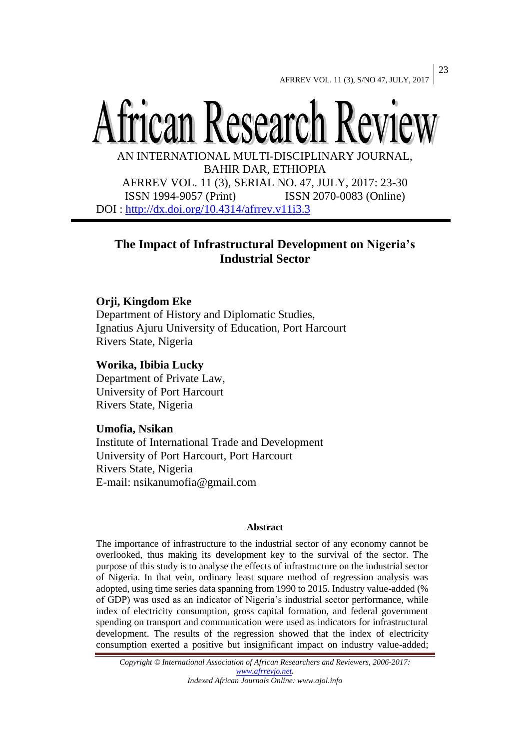# African Research Review

AN INTERNATIONAL MULTI-DISCIPLINARY JOURNAL, BAHIR DAR, ETHIOPIA AFRREV VOL. 11 (3), SERIAL NO. 47, JULY, 2017: 23-30

ISSN 1994-9057 (Print) ISSN 2070-0083 (Online) DOI :<http://dx.doi.org/10.4314/afrrev.v11i3.3>

# **The Impact of Infrastructural Development on Nigeria's Industrial Sector**

# **Orji, Kingdom Eke**

Department of History and Diplomatic Studies, Ignatius Ajuru University of Education, Port Harcourt Rivers State, Nigeria

# **Worika, Ibibia Lucky**

Department of Private Law, University of Port Harcourt Rivers State, Nigeria

# **Umofia, Nsikan**

Institute of International Trade and Development University of Port Harcourt, Port Harcourt Rivers State, Nigeria E-mail: nsikanumofia@gmail.com

### **Abstract**

The importance of infrastructure to the industrial sector of any economy cannot be overlooked, thus making its development key to the survival of the sector. The purpose of this study is to analyse the effects of infrastructure on the industrial sector of Nigeria. In that vein, ordinary least square method of regression analysis was adopted, using time series data spanning from 1990 to 2015. Industry value-added (% of GDP) was used as an indicator of Nigeria's industrial sector performance, while index of electricity consumption, gross capital formation, and federal government spending on transport and communication were used as indicators for infrastructural development. The results of the regression showed that the index of electricity consumption exerted a positive but insignificant impact on industry value-added;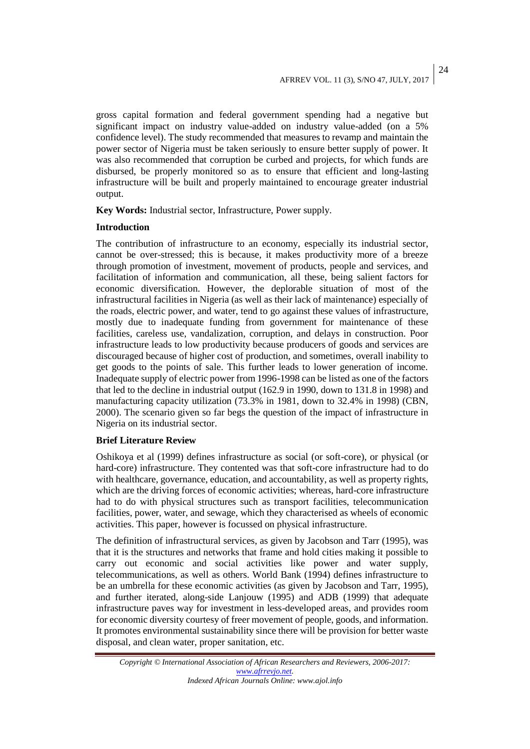gross capital formation and federal government spending had a negative but significant impact on industry value-added on industry value-added (on a 5% confidence level). The study recommended that measures to revamp and maintain the power sector of Nigeria must be taken seriously to ensure better supply of power. It was also recommended that corruption be curbed and projects, for which funds are disbursed, be properly monitored so as to ensure that efficient and long-lasting infrastructure will be built and properly maintained to encourage greater industrial output.

**Key Words:** Industrial sector, Infrastructure, Power supply.

### **Introduction**

The contribution of infrastructure to an economy, especially its industrial sector, cannot be over-stressed; this is because, it makes productivity more of a breeze through promotion of investment, movement of products, people and services, and facilitation of information and communication, all these, being salient factors for economic diversification. However, the deplorable situation of most of the infrastructural facilities in Nigeria (as well as their lack of maintenance) especially of the roads, electric power, and water, tend to go against these values of infrastructure, mostly due to inadequate funding from government for maintenance of these facilities, careless use, vandalization, corruption, and delays in construction. Poor infrastructure leads to low productivity because producers of goods and services are discouraged because of higher cost of production, and sometimes, overall inability to get goods to the points of sale. This further leads to lower generation of income. Inadequate supply of electric power from 1996-1998 can be listed as one of the factors that led to the decline in industrial output (162.9 in 1990, down to 131.8 in 1998) and manufacturing capacity utilization (73.3% in 1981, down to 32.4% in 1998) (CBN, 2000). The scenario given so far begs the question of the impact of infrastructure in Nigeria on its industrial sector.

### **Brief Literature Review**

Oshikoya et al (1999) defines infrastructure as social (or soft-core), or physical (or hard-core) infrastructure. They contented was that soft-core infrastructure had to do with healthcare, governance, education, and accountability, as well as property rights, which are the driving forces of economic activities; whereas, hard-core infrastructure had to do with physical structures such as transport facilities, telecommunication facilities, power, water, and sewage, which they characterised as wheels of economic activities. This paper, however is focussed on physical infrastructure.

The definition of infrastructural services, as given by Jacobson and Tarr (1995), was that it is the structures and networks that frame and hold cities making it possible to carry out economic and social activities like power and water supply, telecommunications, as well as others. World Bank (1994) defines infrastructure to be an umbrella for these economic activities (as given by Jacobson and Tarr, 1995), and further iterated, along-side Lanjouw (1995) and ADB (1999) that adequate infrastructure paves way for investment in less-developed areas, and provides room for economic diversity courtesy of freer movement of people, goods, and information. It promotes environmental sustainability since there will be provision for better waste disposal, and clean water, proper sanitation, etc.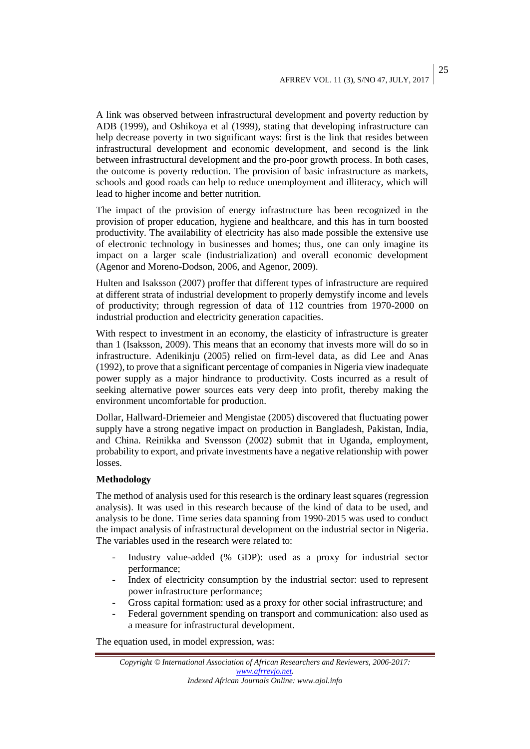A link was observed between infrastructural development and poverty reduction by ADB (1999), and Oshikoya et al (1999), stating that developing infrastructure can help decrease poverty in two significant ways: first is the link that resides between infrastructural development and economic development, and second is the link between infrastructural development and the pro-poor growth process. In both cases, the outcome is poverty reduction. The provision of basic infrastructure as markets, schools and good roads can help to reduce unemployment and illiteracy, which will lead to higher income and better nutrition.

The impact of the provision of energy infrastructure has been recognized in the provision of proper education, hygiene and healthcare, and this has in turn boosted productivity. The availability of electricity has also made possible the extensive use of electronic technology in businesses and homes; thus, one can only imagine its impact on a larger scale (industrialization) and overall economic development (Agenor and Moreno-Dodson, 2006, and Agenor, 2009).

Hulten and Isaksson (2007) proffer that different types of infrastructure are required at different strata of industrial development to properly demystify income and levels of productivity; through regression of data of 112 countries from 1970-2000 on industrial production and electricity generation capacities.

With respect to investment in an economy, the elasticity of infrastructure is greater than 1 (Isaksson, 2009). This means that an economy that invests more will do so in infrastructure. Adenikinju (2005) relied on firm-level data, as did Lee and Anas (1992), to prove that a significant percentage of companies in Nigeria view inadequate power supply as a major hindrance to productivity. Costs incurred as a result of seeking alternative power sources eats very deep into profit, thereby making the environment uncomfortable for production.

Dollar, Hallward-Driemeier and Mengistae (2005) discovered that fluctuating power supply have a strong negative impact on production in Bangladesh, Pakistan, India, and China. Reinikka and Svensson (2002) submit that in Uganda, employment, probability to export, and private investments have a negative relationship with power losses.

### **Methodology**

The method of analysis used for this research is the ordinary least squares (regression analysis). It was used in this research because of the kind of data to be used, and analysis to be done. Time series data spanning from 1990-2015 was used to conduct the impact analysis of infrastructural development on the industrial sector in Nigeria. The variables used in the research were related to:

- Industry value-added (% GDP): used as a proxy for industrial sector performance;
- Index of electricity consumption by the industrial sector: used to represent power infrastructure performance;
- Gross capital formation: used as a proxy for other social infrastructure; and
- Federal government spending on transport and communication: also used as a measure for infrastructural development.

The equation used, in model expression, was: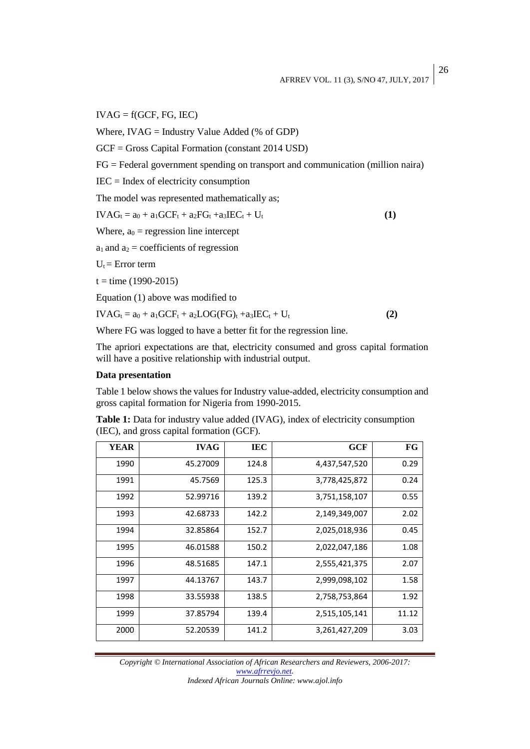$IVAG = f(GCF, FG, IEC)$ 

Where,  $IVAG = Industry$  Value Added (% of GDP)

GCF = Gross Capital Formation (constant 2014 USD)

FG = Federal government spending on transport and communication (million naira)

IEC = Index of electricity consumption

The model was represented mathematically as;

 $IVAG_t = a_0 + a_1 GCF_t + a_2 FG_t + a_3 IEC_t + U_t$  (1)

Where,  $a_0$  = regression line intercept

 $a_1$  and  $a_2$  = coefficients of regression

 $U_t = Error$  term

 $t = time (1990-2015)$ 

Equation (1) above was modified to

 $IVAG_t = a_0 + a_1 GCF_t + a_2 LOG(FG)_t + a_3IEC_t + U_t$  (2)

Where FG was logged to have a better fit for the regression line.

The apriori expectations are that, electricity consumed and gross capital formation will have a positive relationship with industrial output.

### **Data presentation**

Table 1 below shows the values for Industry value-added, electricity consumption and gross capital formation for Nigeria from 1990-2015.

**Table 1:** Data for industry value added (IVAG), index of electricity consumption (IEC), and gross capital formation (GCF).

| YEAR | <b>IVAG</b> | <b>IEC</b> | GCF           | FG    |
|------|-------------|------------|---------------|-------|
| 1990 | 45.27009    | 124.8      | 4,437,547,520 | 0.29  |
| 1991 | 45.7569     | 125.3      | 3,778,425,872 | 0.24  |
| 1992 | 52.99716    | 139.2      | 3,751,158,107 | 0.55  |
| 1993 | 42.68733    | 142.2      | 2,149,349,007 | 2.02  |
| 1994 | 32.85864    | 152.7      | 2,025,018,936 | 0.45  |
| 1995 | 46.01588    | 150.2      | 2,022,047,186 | 1.08  |
| 1996 | 48.51685    | 147.1      | 2,555,421,375 | 2.07  |
| 1997 | 44.13767    | 143.7      | 2,999,098,102 | 1.58  |
| 1998 | 33.55938    | 138.5      | 2,758,753,864 | 1.92  |
| 1999 | 37.85794    | 139.4      | 2,515,105,141 | 11.12 |
| 2000 | 52.20539    | 141.2      | 3,261,427,209 | 3.03  |

*Copyright © International Association of African Researchers and Reviewers, 2006-2017: [www.afrrevjo.net.](http://www.afrrevjo.net/) Indexed African Journals Online: www.ajol.info*

26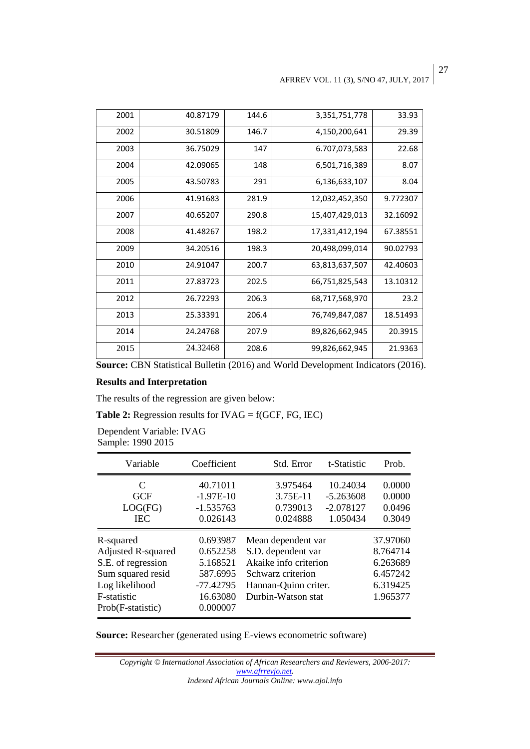AFRREV VOL. 11 (3), S/NO 47, JULY, 2017

| 2001 | 40.87179 | 144.6                | 3,351,751,778  | 33.93    |
|------|----------|----------------------|----------------|----------|
| 2002 | 30.51809 | 146.7                | 4,150,200,641  | 29.39    |
| 2003 | 36.75029 | 147<br>6.707,073,583 |                | 22.68    |
| 2004 | 42.09065 | 148                  | 6,501,716,389  | 8.07     |
| 2005 | 43.50783 | 291                  | 6,136,633,107  | 8.04     |
| 2006 | 41.91683 | 281.9                | 12,032,452,350 | 9.772307 |
| 2007 | 40.65207 | 290.8                | 15,407,429,013 | 32.16092 |
| 2008 | 41.48267 | 198.2                | 17,331,412,194 | 67.38551 |
| 2009 | 34.20516 | 198.3                | 20,498,099,014 | 90.02793 |
| 2010 | 24.91047 | 200.7                | 63,813,637,507 | 42.40603 |
| 2011 | 27.83723 | 202.5                | 66,751,825,543 | 13.10312 |
| 2012 | 26.72293 | 206.3                | 68,717,568,970 | 23.2     |
| 2013 | 25.33391 | 206.4                | 76,749,847,087 | 18.51493 |
| 2014 | 24.24768 | 207.9                | 89,826,662,945 | 20.3915  |
| 2015 | 24.32468 | 208.6                | 99,826,662,945 | 21.9363  |

**Source:** CBN Statistical Bulletin (2016) and World Development Indicators (2016).

### **Results and Interpretation**

The results of the regression are given below:

**Table 2:** Regression results for IVAG = f(GCF, FG, IEC)

Dependent Variable: IVAG Sample: 1990 2015

| Variable                                                                                                                                | Coefficient                                                                         | Std. Error                                                                                                                           | t-Statistic                                        | Prob.                                                                |
|-----------------------------------------------------------------------------------------------------------------------------------------|-------------------------------------------------------------------------------------|--------------------------------------------------------------------------------------------------------------------------------------|----------------------------------------------------|----------------------------------------------------------------------|
| $\mathcal{C}_{\mathcal{C}}$<br><b>GCF</b><br>LOG(FG)<br><b>IEC</b>                                                                      | 40.71011<br>$-1.97E-10$<br>$-1.535763$<br>0.026143                                  | 3.975464<br>3.75E-11<br>0.739013<br>0.024888                                                                                         | 10.24034<br>$-5.263608$<br>$-2.078127$<br>1.050434 | 0.0000<br>0.0000<br>0.0496<br>0.3049                                 |
| R-squared<br><b>Adjusted R-squared</b><br>S.E. of regression<br>Sum squared resid<br>Log likelihood<br>F-statistic<br>Prob(F-statistic) | 0.693987<br>0.652258<br>5.168521<br>587.6995<br>$-77.42795$<br>16.63080<br>0.000007 | Mean dependent var<br>S.D. dependent var<br>Akaike info criterion<br>Schwarz criterion<br>Hannan-Quinn criter.<br>Durbin-Watson stat |                                                    | 37.97060<br>8.764714<br>6.263689<br>6.457242<br>6.319425<br>1.965377 |

**Source:** Researcher (generated using E-views econometric software)

*Copyright © International Association of African Researchers and Reviewers, 2006-2017: [www.afrrevjo.net.](http://www.afrrevjo.net/) Indexed African Journals Online: www.ajol.info*

27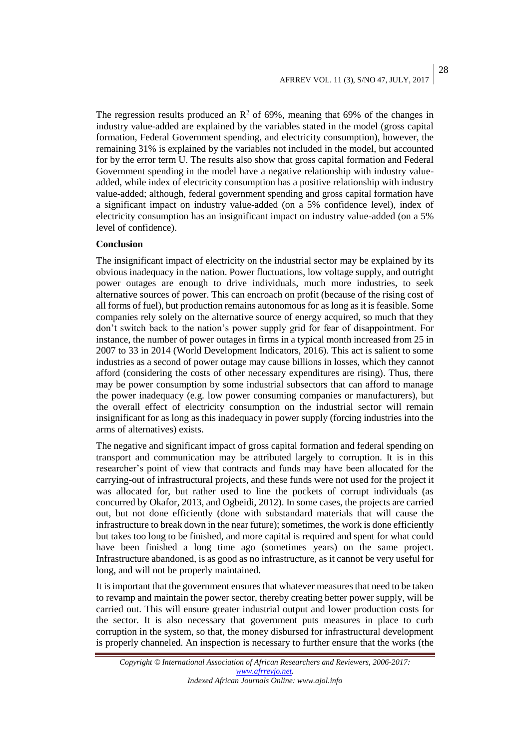The regression results produced an  $\mathbb{R}^2$  of 69%, meaning that 69% of the changes in industry value-added are explained by the variables stated in the model (gross capital formation, Federal Government spending, and electricity consumption), however, the remaining 31% is explained by the variables not included in the model, but accounted for by the error term U. The results also show that gross capital formation and Federal Government spending in the model have a negative relationship with industry valueadded, while index of electricity consumption has a positive relationship with industry value-added; although, federal government spending and gross capital formation have a significant impact on industry value-added (on a 5% confidence level), index of electricity consumption has an insignificant impact on industry value-added (on a 5% level of confidence).

### **Conclusion**

The insignificant impact of electricity on the industrial sector may be explained by its obvious inadequacy in the nation. Power fluctuations, low voltage supply, and outright power outages are enough to drive individuals, much more industries, to seek alternative sources of power. This can encroach on profit (because of the rising cost of all forms of fuel), but production remains autonomous for as long as it is feasible. Some companies rely solely on the alternative source of energy acquired, so much that they don't switch back to the nation's power supply grid for fear of disappointment. For instance, the number of power outages in firms in a typical month increased from 25 in 2007 to 33 in 2014 (World Development Indicators, 2016). This act is salient to some industries as a second of power outage may cause billions in losses, which they cannot afford (considering the costs of other necessary expenditures are rising). Thus, there may be power consumption by some industrial subsectors that can afford to manage the power inadequacy (e.g. low power consuming companies or manufacturers), but the overall effect of electricity consumption on the industrial sector will remain insignificant for as long as this inadequacy in power supply (forcing industries into the arms of alternatives) exists.

The negative and significant impact of gross capital formation and federal spending on transport and communication may be attributed largely to corruption. It is in this researcher's point of view that contracts and funds may have been allocated for the carrying-out of infrastructural projects, and these funds were not used for the project it was allocated for, but rather used to line the pockets of corrupt individuals (as concurred by Okafor, 2013, and Ogbeidi, 2012). In some cases, the projects are carried out, but not done efficiently (done with substandard materials that will cause the infrastructure to break down in the near future); sometimes, the work is done efficiently but takes too long to be finished, and more capital is required and spent for what could have been finished a long time ago (sometimes years) on the same project. Infrastructure abandoned, is as good as no infrastructure, as it cannot be very useful for long, and will not be properly maintained.

It is important that the government ensures that whatever measures that need to be taken to revamp and maintain the power sector, thereby creating better power supply, will be carried out. This will ensure greater industrial output and lower production costs for the sector. It is also necessary that government puts measures in place to curb corruption in the system, so that, the money disbursed for infrastructural development is properly channeled. An inspection is necessary to further ensure that the works (the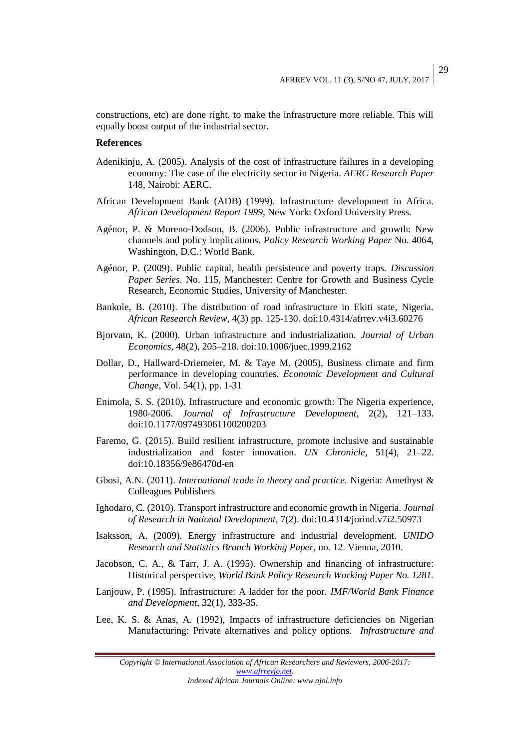constructions, etc) are done right, to make the infrastructure more reliable. This will equally boost output of the industrial sector.

### **References**

- Adenikinju, A. (2005). Analysis of the cost of infrastructure failures in a developing economy: The case of the electricity sector in Nigeria. *AERC Research Paper* 148, Nairobi: AERC.
- African Development Bank (ADB) (1999). Infrastructure development in Africa. *African Development Report 1999,* New York: Oxford University Press.
- Agénor, P. & Moreno-Dodson, B. (2006). Public infrastructure and growth: New channels and policy implications. *Policy Research Working Paper* No. 4064, Washington, D.C.: World Bank.
- Agénor, P. (2009). Public capital, health persistence and poverty traps. *Discussion Paper Series*, No. 115, Manchester: Centre for Growth and Business Cycle Research, Economic Studies, University of Manchester.
- Bankole, B. (2010). The distribution of road infrastructure in Ekiti state, Nigeria. *African Research Review*, 4(3) pp. 125-130. doi:10.4314/afrrev.v4i3.60276
- Bjorvatn, K. (2000). Urban infrastructure and industrialization. *Journal of Urban Economics*, 48(2), 205–218. doi:10.1006/juec.1999.2162
- Dollar, D., Hallward-Driemeier, M. & Taye M. (2005), Business climate and firm performance in developing countries. *Economic Development and Cultural Change*, Vol. 54(1), pp. 1-31
- Enimola, S. S. (2010). Infrastructure and economic growth: The Nigeria experience, 1980-2006. *Journal of Infrastructure Development*, 2(2), 121–133. doi:10.1177/097493061100200203
- Faremo, G. (2015). Build resilient infrastructure, promote inclusive and sustainable industrialization and foster innovation. *UN Chronicle*, 51(4), 21–22. doi:10.18356/9e86470d-en
- Gbosi, A.N. (2011). *International trade in theory and practice.* Nigeria: Amethyst & Colleagues Publishers
- Ighodaro, C. (2010). Transport infrastructure and economic growth in Nigeria. *Journal of Research in National Development*, 7(2). doi:10.4314/jorind.v7i2.50973
- Isaksson, A. (2009). Energy infrastructure and industrial development. *UNIDO Research and Statistics Branch Working Paper,* no. 12. Vienna, 2010.
- Jacobson, C. A., & Tarr, J. A. (1995). Ownership and financing of infrastructure: Historical perspective, *World Bank Policy Research Working Paper No. 1281.*
- Lanjouw, P. (1995). Infrastructure: A ladder for the poor. *IMF/World Bank Finance and Development,* 32(1), 333-35.
- Lee, K. S. & Anas, A. (1992), Impacts of infrastructure deficiencies on Nigerian Manufacturing: Private alternatives and policy options. *Infrastructure and*

*Indexed African Journals Online: www.ajol.info*

*Copyright © International Association of African Researchers and Reviewers, 2006-2017: [www.afrrevjo.net.](http://www.afrrevjo.net/)*